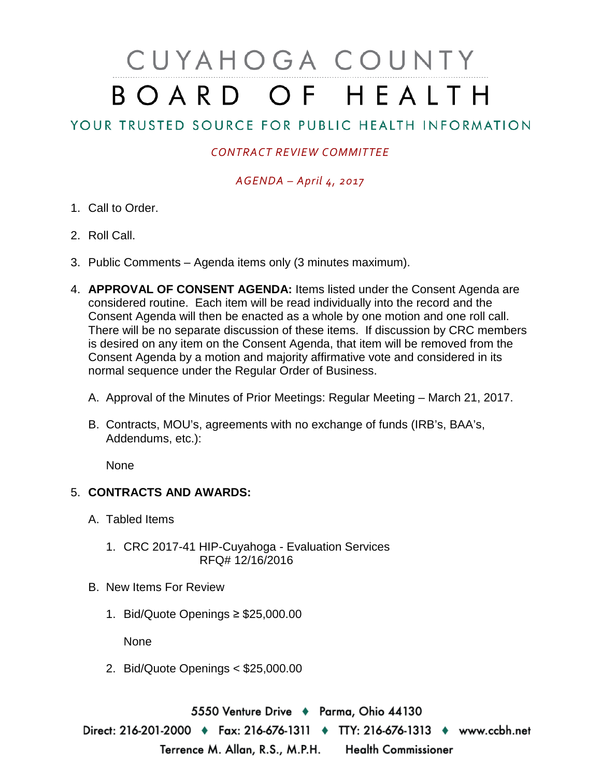# CUYAHOGA COUNTY BOARD OF HEALTH

## YOUR TRUSTED SOURCE FOR PUBLIC HEALTH INFORMATION

### *CONTRACT REVIEW COMMITTEE*

#### *AGENDA – April 4, 2017*

- 1. Call to Order.
- 2. Roll Call.
- 3. Public Comments Agenda items only (3 minutes maximum).
- 4. **APPROVAL OF CONSENT AGENDA:** Items listed under the Consent Agenda are considered routine. Each item will be read individually into the record and the Consent Agenda will then be enacted as a whole by one motion and one roll call. There will be no separate discussion of these items. If discussion by CRC members is desired on any item on the Consent Agenda, that item will be removed from the Consent Agenda by a motion and majority affirmative vote and considered in its normal sequence under the Regular Order of Business.
	- A. Approval of the Minutes of Prior Meetings: Regular Meeting March 21, 2017.
	- B. Contracts, MOU's, agreements with no exchange of funds (IRB's, BAA's, Addendums, etc.):

None

#### 5. **CONTRACTS AND AWARDS:**

- A. Tabled Items
	- 1. CRC 2017-41 HIP-Cuyahoga Evaluation Services RFQ# 12/16/2016
- B. New Items For Review
	- 1. Bid/Quote Openings ≥ \$25,000.00

None

2. Bid/Quote Openings < \$25,000.00

5550 Venture Drive + Parma, Ohio 44130 Direct: 216-201-2000 • Fax: 216-676-1311 • TTY: 216-676-1313 • www.ccbh.net Terrence M. Allan, R.S., M.P.H. Health Commissioner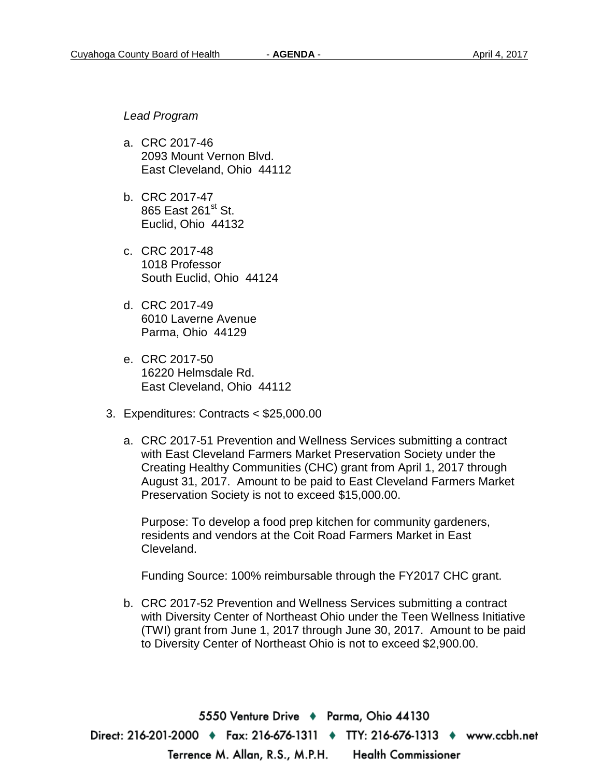*Lead Program*

- a. CRC 2017-46 2093 Mount Vernon Blvd. East Cleveland, Ohio 44112
- b. CRC 2017-47 865 East 261<sup>st</sup> St. Euclid, Ohio 44132
- c. CRC 2017-48 1018 Professor South Euclid, Ohio 44124
- d. CRC 2017-49 6010 Laverne Avenue Parma, Ohio 44129
- e. CRC 2017-50 16220 Helmsdale Rd. East Cleveland, Ohio 44112
- 3. Expenditures: Contracts < \$25,000.00
	- a. CRC 2017-51 Prevention and Wellness Services submitting a contract with East Cleveland Farmers Market Preservation Society under the Creating Healthy Communities (CHC) grant from April 1, 2017 through August 31, 2017. Amount to be paid to East Cleveland Farmers Market Preservation Society is not to exceed \$15,000.00.

Purpose: To develop a food prep kitchen for community gardeners, residents and vendors at the Coit Road Farmers Market in East Cleveland.

Funding Source: 100% reimbursable through the FY2017 CHC grant.

b. CRC 2017-52 Prevention and Wellness Services submitting a contract with Diversity Center of Northeast Ohio under the Teen Wellness Initiative (TWI) grant from June 1, 2017 through June 30, 2017. Amount to be paid to Diversity Center of Northeast Ohio is not to exceed \$2,900.00.

5550 Venture Drive + Parma, Ohio 44130 Direct: 216-201-2000 ♦ Fax: 216-676-1311 ♦ TTY: 216-676-1313 ♦ www.ccbh.net Terrence M. Allan, R.S., M.P.H. Health Commissioner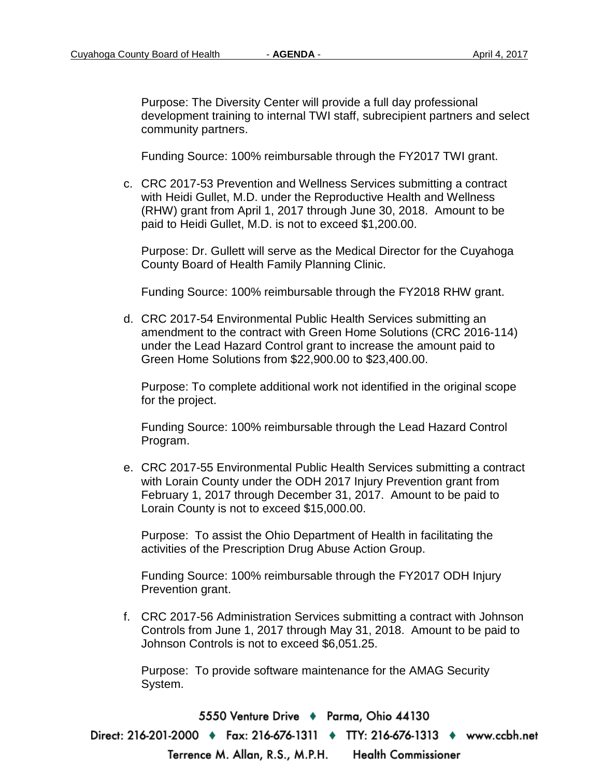Purpose: The Diversity Center will provide a full day professional development training to internal TWI staff, subrecipient partners and select community partners.

Funding Source: 100% reimbursable through the FY2017 TWI grant.

c. CRC 2017-53 Prevention and Wellness Services submitting a contract with Heidi Gullet, M.D. under the Reproductive Health and Wellness (RHW) grant from April 1, 2017 through June 30, 2018. Amount to be paid to Heidi Gullet, M.D. is not to exceed \$1,200.00.

Purpose: Dr. Gullett will serve as the Medical Director for the Cuyahoga County Board of Health Family Planning Clinic.

Funding Source: 100% reimbursable through the FY2018 RHW grant.

d. CRC 2017-54 Environmental Public Health Services submitting an amendment to the contract with Green Home Solutions (CRC 2016-114) under the Lead Hazard Control grant to increase the amount paid to Green Home Solutions from \$22,900.00 to \$23,400.00.

Purpose: To complete additional work not identified in the original scope for the project.

Funding Source: 100% reimbursable through the Lead Hazard Control Program.

e. CRC 2017-55 Environmental Public Health Services submitting a contract with Lorain County under the ODH 2017 Injury Prevention grant from February 1, 2017 through December 31, 2017. Amount to be paid to Lorain County is not to exceed \$15,000.00.

Purpose: To assist the Ohio Department of Health in facilitating the activities of the Prescription Drug Abuse Action Group.

Funding Source: 100% reimbursable through the FY2017 ODH Injury Prevention grant.

f. CRC 2017-56 Administration Services submitting a contract with Johnson Controls from June 1, 2017 through May 31, 2018. Amount to be paid to Johnson Controls is not to exceed \$6,051.25.

Purpose: To provide software maintenance for the AMAG Security System.

5550 Venture Drive + Parma, Ohio 44130

Direct: 216-201-2000 ♦ Fax: 216-676-1311 ♦ TTY: 216-676-1313 ♦ www.ccbh.net Terrence M. Allan, R.S., M.P.H. Health Commissioner